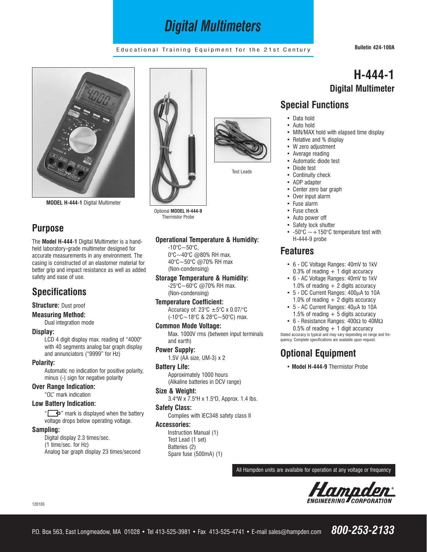# *Digital Multimeters*

## Educational Training Equipment for the 21st Century **Bulletin 424-100A**

**H-444-1**

**Digital Multimeter**



**MODEL H-444-1** Digital Multimeter

# **Purpose**

The **Model H-444-1** Digital Multimeter is a handheld laboratory-grade multimeter designed for accurate measurements in any environment. The casing is constructed of an elastomer material for better grip and impact resistance as well as added safety and ease of use.

# **Specifications**

**Structure:** Dust proof

### **Measuring Method:**

Dual integration mode

### **Display:**

LCD 4 digit display max. reading of "4000" with 40 segments analog bar graph display and annunciators ("9999" for Hz)

#### **Polarity:**

Automatic no indication for positive polarity, minus (-) sign for negative polarity

### **Over Range Indication:**

"OL" mark indication

### **Low Battery Indication:**

" $\Box$  mark is displayed when the battery" voltage drops below operating voltage.

#### **Sampling:**

Digital display 2.3 times/sec. (1 time/sec. for Hz) Analog bar graph display 23 times/second



Optional **MODEL H-444-9** Thermistor Probe

### **Operational Temperature & Humidity:**

 $-10^{\circ}$ C $-50^{\circ}$ C. 0°C~40°C @80% RH max. 40°C~50°C @70% RH max (Non-condensing)

**Storage Temperature & Humidity:** -25°C~60°C @70% RH max. (Non-condensing)

**Temperature Coefficient:** Accuracy of: 23 $^{\circ}$ C  $\pm$  5 $^{\circ}$ C x 0.07/ $^{\circ}$ C (-10°C~18°C & 28°C~50°C) max.

### **Common Mode Voltage:** Max. 1000V rms (between input terminals and earth)

**Power Supply:** 1.5V (AA size, UM-3) x 2

**Battery Life:** Approximately 1000 hours (Alkaline batteries in DCV range)

**Size & Weight:** 3.4"W x 7.5"H x 1.5"D, Approx. 1.4 lbs.

### **Safety Class:**

Complies with IEC348 safety class II

### **Accessories:**

Instruction Manual (1) Test Lead (1 set) Batteries (2) Spare fuse (500mA) (1)



Test Leads

Continuity check • ADP adapter

• Data hold Auto hold

• Center zero bar graph

**Special Functions**

• Relative and % display • W zero adjustment • Average reading • Automatic diode test • Diode test

- Over input alarm
- Fuse alarm
- Fuse check
- Auto power off
- Safety lock shutter
- -50 $\degree$ C  $\sim$  +150 $\degree$ C temperature test with H-444-9 probe

• MIN/MAX hold with elapsed time display

## **Features**

- 6 DC Voltage Ranges: 40mV to 1kV  $0.3\%$  of reading  $+1$  digit accuracy
- 6 AC Voltage Ranges: 40mV to 1kV 1.0% of reading  $+2$  digits accuracy
- 5 DC Current Ranges: 400µA to 10A 1.0% of reading  $+2$  digits accuracy
- 5 AC Current Ranges: 40µA to 10A 1.5% of reading  $+5$  digits accuracy
- 6 Resistance Ranges: 400Ω to 40MΩ 0.5% of reading  $+1$  digit accuracy

Stated accuracy is typical and may vary depending on range and frequency. Complete specifications are available upon request.

# **Optional Equipment**

**• Model H-444-9** Thermistor Probe

All Hampden units are available for operation at any voltage or frequency